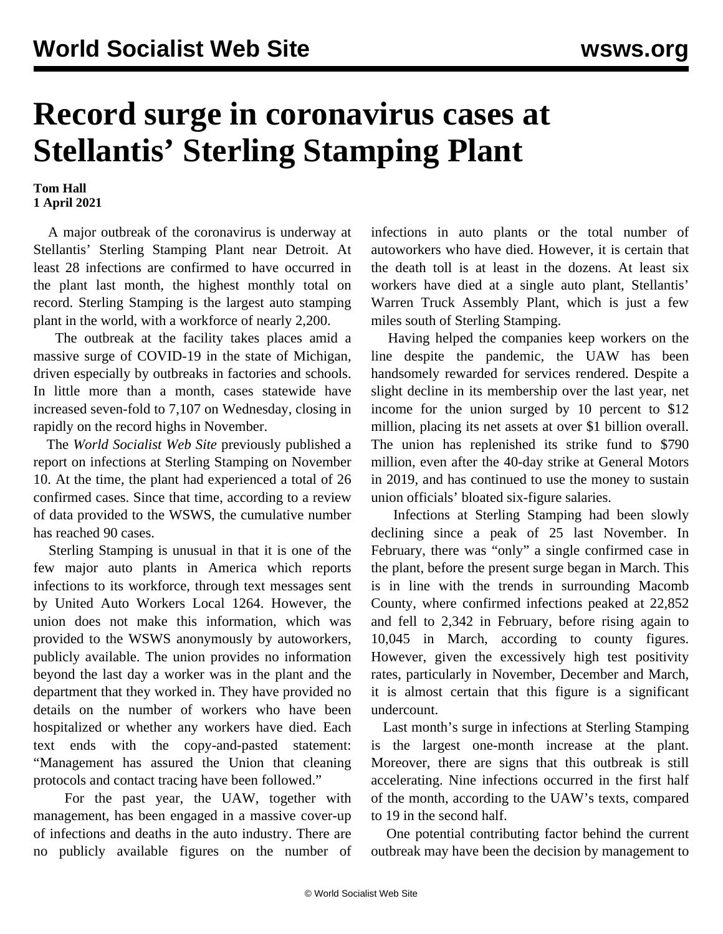## **Record surge in coronavirus cases at Stellantis' Sterling Stamping Plant**

## **Tom Hall 1 April 2021**

 A major outbreak of the coronavirus is underway at Stellantis' Sterling Stamping Plant near Detroit. At least 28 infections are confirmed to have occurred in the plant last month, the highest monthly total on record. Sterling Stamping is the largest auto stamping plant in the world, with a workforce of nearly 2,200.

 The outbreak at the facility takes places amid a massive surge of COVID-19 in the state of Michigan, driven especially by outbreaks in factories and schools. In little more than a month, cases statewide have increased seven-fold to 7,107 on Wednesday, closing in rapidly on the record highs in November.

 The *World Socialist Web Site* previously [published a](/en/articles/2020/11/11/stam-n11.html) [report](/en/articles/2020/11/11/stam-n11.html) on infections at Sterling Stamping on November 10. At the time, the plant had experienced a total of 26 confirmed cases. Since that time, according to a review of data provided to the WSWS, the cumulative number has reached 90 cases.

 Sterling Stamping is unusual in that it is one of the few major auto plants in America which reports infections to its workforce, through text messages sent by United Auto Workers Local 1264. However, the union does not make this information, which was provided to the WSWS anonymously by autoworkers, publicly available. The union provides no information beyond the last day a worker was in the plant and the department that they worked in. They have provided no details on the number of workers who have been hospitalized or whether any workers have died. Each text ends with the copy-and-pasted statement: "Management has assured the Union that cleaning protocols and contact tracing have been followed."

 For the past year, the UAW, together with management, has been engaged in a massive cover-up of infections and deaths in the auto industry. There are no publicly available figures on the number of infections in auto plants or the total number of autoworkers who have died. However, it is certain that the death toll is at least in the dozens. At least six workers have died at a single auto plant, Stellantis' Warren Truck Assembly Plant, which is just a few miles south of Sterling Stamping.

 Having helped the companies keep workers on the line despite the pandemic, the UAW has been handsomely rewarded for services rendered. Despite a slight decline in its membership over the last year, net income for the union surged by 10 percent to \$12 million, placing its net assets at over \$1 billion overall. The union has replenished its strike fund to \$790 million, even after the 40-day strike at General Motors in 2019, and has continued to use the money to sustain union officials' bloated six-figure salaries.

 Infections at Sterling Stamping had been slowly declining since a peak of 25 last November. In February, there was "only" a single confirmed case in the plant, before the present surge began in March. This is in line with the trends in surrounding Macomb County, where confirmed infections peaked at 22,852 and fell to 2,342 in February, before rising again to 10,045 in March, according to county figures. However, given the excessively high test positivity rates, particularly in November, December and March, it is almost certain that this figure is a significant undercount.

 Last month's surge in infections at Sterling Stamping is the largest one-month increase at the plant. Moreover, there are signs that this outbreak is still accelerating. Nine infections occurred in the first half of the month, according to the UAW's texts, compared to 19 in the second half.

 One potential contributing factor behind the current outbreak may have been the decision by management to